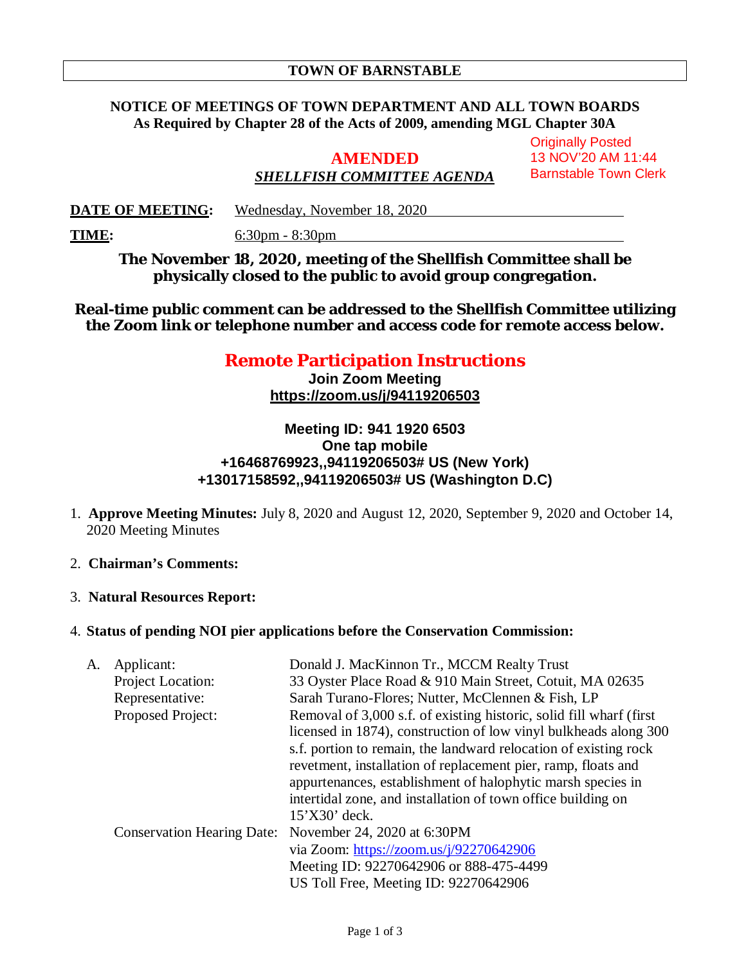#### **NOTICE OF MEETINGS OF TOWN DEPARTMENT AND ALL TOWN BOARDS As Required by Chapter 28 of the Acts of 2009, amending MGL Chapter 30A**

# **AMENDED** *SHELLFISH COMMITTEE AGENDA*

**Originally Posted** 13 NOV'20 AM 11:44 Barnstable Town Clerk

**DATE OF MEETING:** Wednesday, November 18, 2020

**TIME:** 6:30pm - 8:30pm

**The November 18, 2020, meeting of the Shellfish Committee shall be physically closed to the public to avoid group congregation.**

**Real-time public comment can be addressed to the Shellfish Committee utilizing the Zoom link or telephone number and access code for remote access below.**

## **Remote Participation Instructions**

**Join Zoom Meeting https://zoom.us/j/94119206503**

#### **Meeting ID: 941 1920 6503 One tap mobile +16468769923,,94119206503# US (New York) +13017158592,,94119206503# US (Washington D.C)**

- 1. **Approve Meeting Minutes:** July 8, 2020 and August 12, 2020, September 9, 2020 and October 14, 2020 Meeting Minutes
- 2. **Chairman's Comments:**
- 3. **Natural Resources Report:**

#### 4. **Status of pending NOI pier applications before the Conservation Commission:**

| A. | Applicant:                        | Donald J. MacKinnon Tr., MCCM Realty Trust                           |  |
|----|-----------------------------------|----------------------------------------------------------------------|--|
|    | Project Location:                 | 33 Oyster Place Road & 910 Main Street, Cotuit, MA 02635             |  |
|    | Representative:                   | Sarah Turano-Flores; Nutter, McClennen & Fish, LP                    |  |
|    | Proposed Project:                 | Removal of 3,000 s.f. of existing historic, solid fill wharf (first) |  |
|    |                                   | licensed in 1874), construction of low vinyl bulkheads along 300     |  |
|    |                                   | s.f. portion to remain, the landward relocation of existing rock     |  |
|    |                                   | revetment, installation of replacement pier, ramp, floats and        |  |
|    |                                   | appurtenances, establishment of halophytic marsh species in          |  |
|    |                                   | intertidal zone, and installation of town office building on         |  |
|    |                                   | $15'$ X30' deck.                                                     |  |
|    | <b>Conservation Hearing Date:</b> | November 24, 2020 at 6:30PM                                          |  |
|    |                                   | via Zoom: https://zoom.us/j/92270642906                              |  |
|    |                                   | Meeting ID: 92270642906 or 888-475-4499                              |  |
|    |                                   | US Toll Free, Meeting ID: 92270642906                                |  |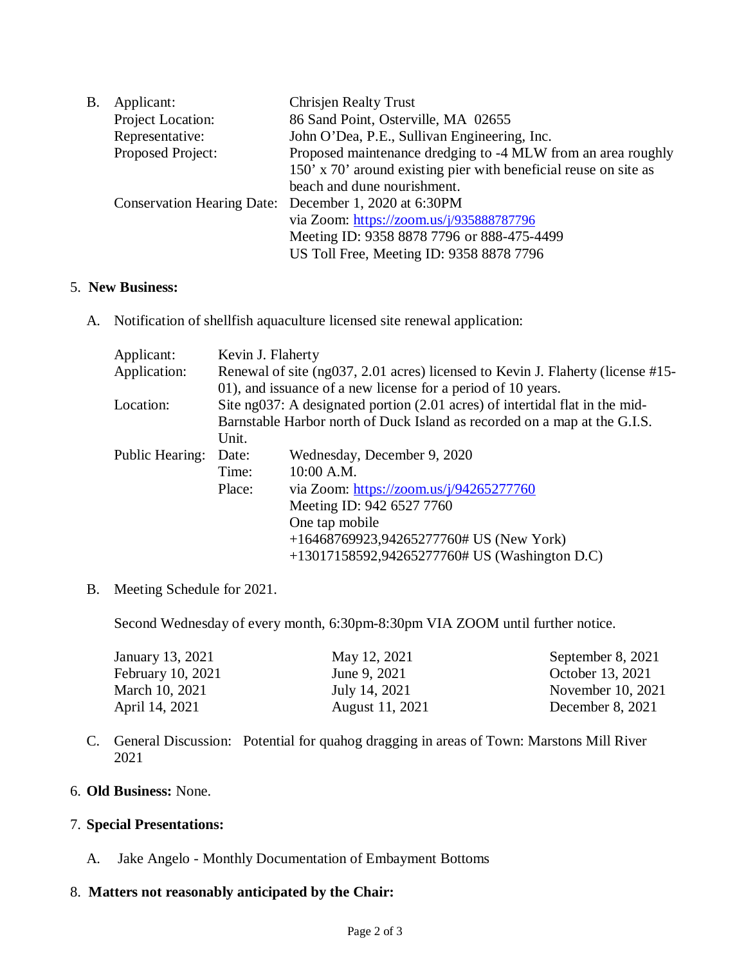| Β. | Applicant:        | <b>Chrisjen Realty Trust</b>                                     |
|----|-------------------|------------------------------------------------------------------|
|    | Project Location: | 86 Sand Point, Osterville, MA 02655                              |
|    | Representative:   | John O'Dea, P.E., Sullivan Engineering, Inc.                     |
|    | Proposed Project: | Proposed maintenance dredging to -4 MLW from an area roughly     |
|    |                   | 150' x 70' around existing pier with beneficial reuse on site as |
|    |                   | beach and dune nourishment.                                      |
|    |                   | Conservation Hearing Date: December 1, 2020 at 6:30PM            |
|    |                   | via Zoom: https://zoom.us/j/935888787796                         |
|    |                   | Meeting ID: 9358 8878 7796 or 888-475-4499                       |
|    |                   | US Toll Free, Meeting ID: 9358 8878 7796                         |
|    |                   |                                                                  |

#### 5. **New Business:**

A. Notification of shellfish aquaculture licensed site renewal application:

| Applicant:      | Kevin J. Flaherty                                                               |                                               |  |
|-----------------|---------------------------------------------------------------------------------|-----------------------------------------------|--|
| Application:    | Renewal of site (ng037, 2.01 acres) licensed to Kevin J. Flaherty (license #15- |                                               |  |
|                 | 01), and issuance of a new license for a period of 10 years.                    |                                               |  |
| Location:       | Site ng037: A designated portion (2.01 acres) of intertidal flat in the mid-    |                                               |  |
|                 | Barnstable Harbor north of Duck Island as recorded on a map at the G.I.S.       |                                               |  |
|                 | Unit.                                                                           |                                               |  |
| Public Hearing: | Date:                                                                           | Wednesday, December 9, 2020                   |  |
|                 | Time:                                                                           | $10:00$ A.M.                                  |  |
|                 | Place:                                                                          | via Zoom: https://zoom.us/j/94265277760       |  |
|                 |                                                                                 | Meeting ID: 942 6527 7760                     |  |
|                 |                                                                                 | One tap mobile                                |  |
|                 |                                                                                 | $+16468769923,94265277760\# US (New York)$    |  |
|                 |                                                                                 | +13017158592,94265277760# US (Washington D.C) |  |

#### B. Meeting Schedule for 2021.

Second Wednesday of every month, 6:30pm-8:30pm VIA ZOOM until further notice.

| May 12, 2021    | September 8, 2021 |
|-----------------|-------------------|
| June 9, 2021    | October 13, 2021  |
| July 14, 2021   | November 10, 2021 |
| August 11, 2021 | December 8, 2021  |
|                 |                   |

C. General Discussion: Potential for quahog dragging in areas of Town: Marstons Mill River 2021

#### 6. **Old Business:** None.

#### 7. **Special Presentations:**

A. Jake Angelo - Monthly Documentation of Embayment Bottoms

### 8. **Matters not reasonably anticipated by the Chair:**